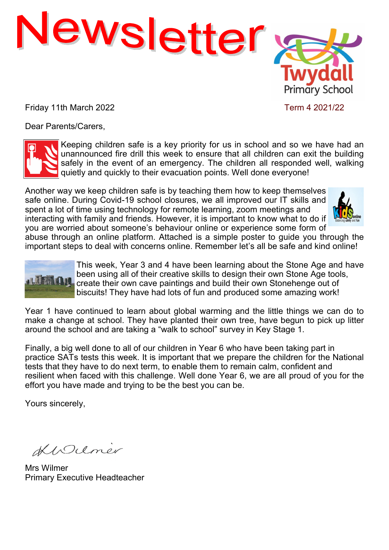

Friday 11th March 2022 Term 4 2021/22

Dear Parents/Carers,



Keeping children safe is a key priority for us in school and so we have had an unannounced fire drill this week to ensure that all children can exit the building safely in the event of an emergency. The children all responded well, walking quietly and quickly to their evacuation points. Well done everyone!

Another way we keep children safe is by teaching them how to keep themselves safe online. During Covid-19 school closures, we all improved our IT skills and spent a lot of time using technology for remote learning, zoom meetings and interacting with family and friends. However, it is important to know what to do if you are worried about someone's behaviour online or experience some form of



abuse through an online platform. Attached is a simple poster to guide you through the important steps to deal with concerns online. Remember let's all be safe and kind online!



This week, Year 3 and 4 have been learning about the Stone Age and have been using all of their creative skills to design their own Stone Age tools, **ALLEMAN,** create their own cave paintings and build their own Stonehenge out of biscuits! They have had lots of fun and produced some amazing work!

Year 1 have continued to learn about global warming and the little things we can do to make a change at school. They have planted their own tree, have begun to pick up litter around the school and are taking a "walk to school" survey in Key Stage 1.

Finally, a big well done to all of our children in Year 6 who have been taking part in practice SATs tests this week. It is important that we prepare the children for the National tests that they have to do next term, to enable them to remain calm, confident and resilient when faced with this challenge. Well done Year 6, we are all proud of you for the effort you have made and trying to be the best you can be.

Yours sincerely,

KIDUmer

Mrs Wilmer Primary Executive Headteacher